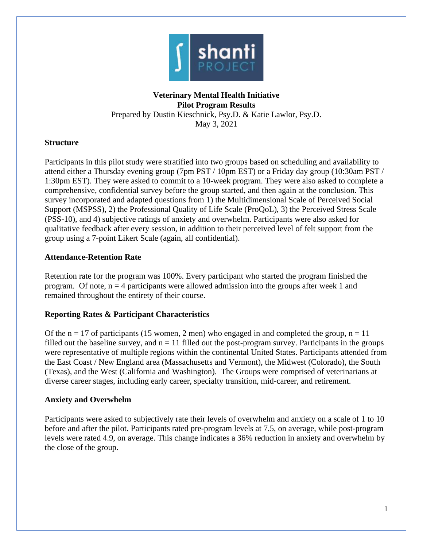

# **Veterinary Mental Health Initiative Pilot Program Results** Prepared by Dustin Kieschnick, Psy.D. & Katie Lawlor, Psy.D. May 3, 2021

# **Structure**

Participants in this pilot study were stratified into two groups based on scheduling and availability to attend either a Thursday evening group (7pm PST / 10pm EST) or a Friday day group (10:30am PST / 1:30pm EST). They were asked to commit to a 10-week program. They were also asked to complete a comprehensive, confidential survey before the group started, and then again at the conclusion. This survey incorporated and adapted questions from 1) the Multidimensional Scale of Perceived Social Support (MSPSS), 2) the Professional Quality of Life Scale (ProQoL), 3) the Perceived Stress Scale (PSS-10), and 4) subjective ratings of anxiety and overwhelm. Participants were also asked for qualitative feedback after every session, in addition to their perceived level of felt support from the group using a 7-point Likert Scale (again, all confidential).

# **Attendance-Retention Rate**

Retention rate for the program was 100%. Every participant who started the program finished the program. Of note,  $n = 4$  participants were allowed admission into the groups after week 1 and remained throughout the entirety of their course.

# **Reporting Rates & Participant Characteristics**

Of the  $n = 17$  of participants (15 women, 2 men) who engaged in and completed the group,  $n = 11$ filled out the baseline survey, and  $n = 11$  filled out the post-program survey. Participants in the groups were representative of multiple regions within the continental United States. Participants attended from the East Coast / New England area (Massachusetts and Vermont), the Midwest (Colorado), the South (Texas), and the West (California and Washington). The Groups were comprised of veterinarians at diverse career stages, including early career, specialty transition, mid-career, and retirement.

# **Anxiety and Overwhelm**

Participants were asked to subjectively rate their levels of overwhelm and anxiety on a scale of 1 to 10 before and after the pilot. Participants rated pre-program levels at 7.5, on average, while post-program levels were rated 4.9, on average. This change indicates a 36% reduction in anxiety and overwhelm by the close of the group.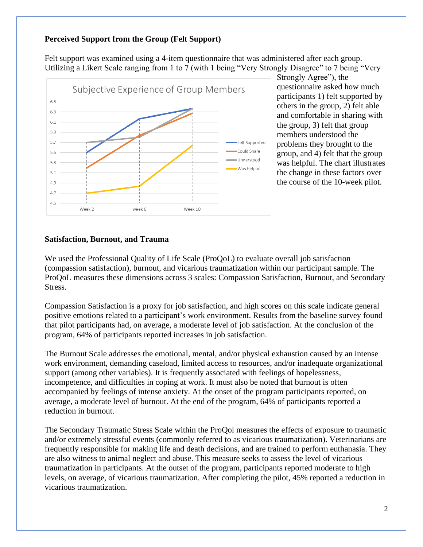## **Perceived Support from the Group (Felt Support)**

Felt support was examined using a 4-item questionnaire that was administered after each group. Utilizing a Likert Scale ranging from 1 to 7 (with 1 being "Very Strongly Disagree" to 7 being "Very



Strongly Agree"), the questionnaire asked how much participants 1) felt supported by others in the group, 2) felt able and comfortable in sharing with the group, 3) felt that group members understood the problems they brought to the group, and 4) felt that the group was helpful. The chart illustrates the change in these factors over the course of the 10-week pilot.

### **Satisfaction, Burnout, and Trauma**

We used the Professional Quality of Life Scale (ProQoL) to evaluate overall job satisfaction (compassion satisfaction), burnout, and vicarious traumatization within our participant sample. The ProQoL measures these dimensions across 3 scales: Compassion Satisfaction, Burnout, and Secondary Stress.

Compassion Satisfaction is a proxy for job satisfaction, and high scores on this scale indicate general positive emotions related to a participant's work environment. Results from the baseline survey found that pilot participants had, on average, a moderate level of job satisfaction. At the conclusion of the program, 64% of participants reported increases in job satisfaction.

The Burnout Scale addresses the emotional, mental, and/or physical exhaustion caused by an intense work environment, demanding caseload, limited access to resources, and/or inadequate organizational support (among other variables). It is frequently associated with feelings of hopelessness, incompetence, and difficulties in coping at work. It must also be noted that burnout is often accompanied by feelings of intense anxiety. At the onset of the program participants reported, on average, a moderate level of burnout. At the end of the program, 64% of participants reported a reduction in burnout.

The Secondary Traumatic Stress Scale within the ProQol measures the effects of exposure to traumatic and/or extremely stressful events (commonly referred to as vicarious traumatization). Veterinarians are frequently responsible for making life and death decisions, and are trained to perform euthanasia. They are also witness to animal neglect and abuse. This measure seeks to assess the level of vicarious traumatization in participants. At the outset of the program, participants reported moderate to high levels, on average, of vicarious traumatization. After completing the pilot, 45% reported a reduction in vicarious traumatization.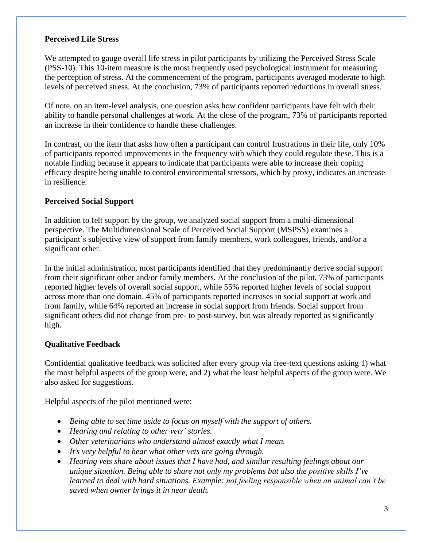## **Perceived Life Stress**

We attempted to gauge overall life stress in pilot participants by utilizing the Perceived Stress Scale (PSS-10). This 10-item measure is the most frequently used psychological instrument for measuring the perception of stress. At the commencement of the program, participants averaged moderate to high levels of perceived stress. At the conclusion, 73% of participants reported reductions in overall stress.

Of note, on an item-level analysis, one question asks how confident participants have felt with their ability to handle personal challenges at work. At the close of the program, 73% of participants reported an increase in their confidence to handle these challenges.

In contrast, on the item that asks how often a participant can control frustrations in their life, only 10% of participants reported improvements in the frequency with which they could regulate these. This is a notable finding because it appears to indicate that participants were able to increase their coping efficacy despite being unable to control environmental stressors, which by proxy, indicates an increase in resilience.

# **Perceived Social Support**

In addition to felt support by the group, we analyzed social support from a multi-dimensional perspective. The Multidimensional Scale of Perceived Social Support (MSPSS) examines a participant's subjective view of support from family members, work colleagues, friends, and/or a significant other.

In the initial administration, most participants identified that they predominantly derive social support from their significant other and/or family members. At the conclusion of the pilot, 73% of participants reported higher levels of overall social support, while 55% reported higher levels of social support across more than one domain. 45% of participants reported increases in social support at work and from family, while 64% reported an increase in social support from friends. Social support from significant others did not change from pre- to post-survey, but was already reported as significantly high.

### **Qualitative Feedback**

Confidential qualitative feedback was solicited after every group via free-text questions asking 1) what the most helpful aspects of the group were, and 2) what the least helpful aspects of the group were. We also asked for suggestions.

Helpful aspects of the pilot mentioned were:

- *Being able to set time aside to focus on myself with the support of others.*
- *Hearing and relating to other vets' stories.*
- *Other veterinarians who understand almost exactly what I mean.*
- *It's very helpful to hear what other vets are going through.*
- *Hearing vets share about issues that I have had, and similar resulting feelings about our unique situation. Being able to share not only my problems but also the positive skills I've learned to deal with hard situations. Example: not feeling responsible when an animal can't be saved when owner brings it in near death.*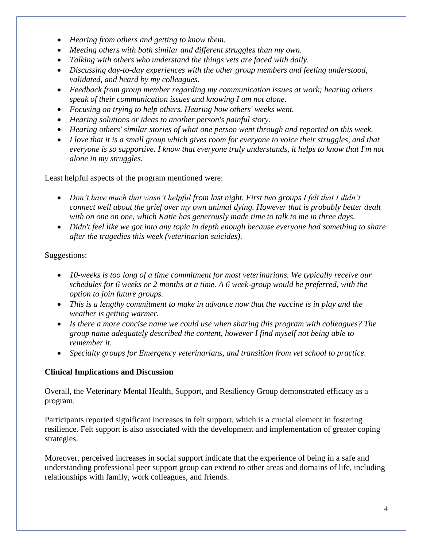- *Hearing from others and getting to know them.*
- *Meeting others with both similar and different struggles than my own.*
- *Talking with others who understand the things vets are faced with daily.*
- *Discussing day-to-day experiences with the other group members and feeling understood, validated, and heard by my colleagues.*
- *Feedback from group member regarding my communication issues at work; hearing others speak of their communication issues and knowing I am not alone.*
- *Focusing on trying to help others. Hearing how others' weeks went.*
- *Hearing solutions or ideas to another person's painful story.*
- *Hearing others' similar stories of what one person went through and reported on this week.*
- *I love that it is a small group which gives room for everyone to voice their struggles, and that everyone is so supportive. I know that everyone truly understands, it helps to know that I'm not alone in my struggles.*

Least helpful aspects of the program mentioned were:

- *Don't have much that wasn't helpful from last night. First two groups I felt that I didn't connect well about the grief over my own animal dying. However that is probably better dealt with on one on one, which Katie has generously made time to talk to me in three days.*
- *Didn't feel like we got into any topic in depth enough because everyone had something to share after the tragedies this week (veterinarian suicides).*

# Suggestions:

- *10-weeks is too long of a time commitment for most veterinarians. We typically receive our schedules for 6 weeks or 2 months at a time. A 6 week-group would be preferred, with the option to join future groups.*
- *This is a lengthy commitment to make in advance now that the vaccine is in play and the weather is getting warmer.*
- *Is there a more concise name we could use when sharing this program with colleagues? The group name adequately described the content, however I find myself not being able to remember it.*
- *Specialty groups for Emergency veterinarians, and transition from vet school to practice.*

# **Clinical Implications and Discussion**

Overall, the Veterinary Mental Health, Support, and Resiliency Group demonstrated efficacy as a program.

Participants reported significant increases in felt support, which is a crucial element in fostering resilience. Felt support is also associated with the development and implementation of greater coping strategies.

Moreover, perceived increases in social support indicate that the experience of being in a safe and understanding professional peer support group can extend to other areas and domains of life, including relationships with family, work colleagues, and friends.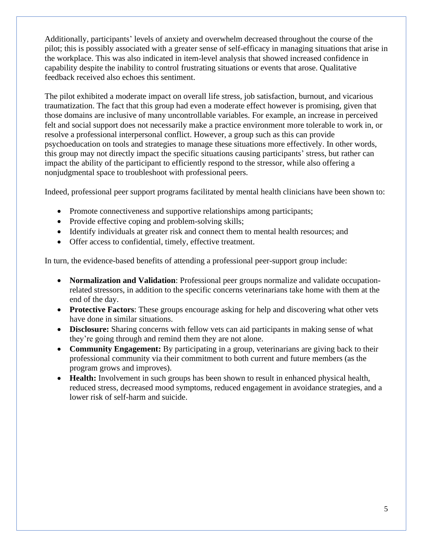Additionally, participants' levels of anxiety and overwhelm decreased throughout the course of the pilot; this is possibly associated with a greater sense of self-efficacy in managing situations that arise in the workplace. This was also indicated in item-level analysis that showed increased confidence in capability despite the inability to control frustrating situations or events that arose. Qualitative feedback received also echoes this sentiment.

The pilot exhibited a moderate impact on overall life stress, job satisfaction, burnout, and vicarious traumatization. The fact that this group had even a moderate effect however is promising, given that those domains are inclusive of many uncontrollable variables. For example, an increase in perceived felt and social support does not necessarily make a practice environment more tolerable to work in, or resolve a professional interpersonal conflict. However, a group such as this can provide psychoeducation on tools and strategies to manage these situations more effectively. In other words, this group may not directly impact the specific situations causing participants' stress, but rather can impact the ability of the participant to efficiently respond to the stressor, while also offering a nonjudgmental space to troubleshoot with professional peers.

Indeed, professional peer support programs facilitated by mental health clinicians have been shown to:

- Promote connectiveness and supportive relationships among participants;
- Provide effective coping and problem-solving skills;
- Identify individuals at greater risk and connect them to mental health resources; and
- Offer access to confidential, timely, effective treatment.

In turn, the evidence-based benefits of attending a professional peer-support group include:

- **Normalization and Validation**: Professional peer groups normalize and validate occupationrelated stressors, in addition to the specific concerns veterinarians take home with them at the end of the day.
- **Protective Factors**: These groups encourage asking for help and discovering what other vets have done in similar situations.
- **Disclosure:** Sharing concerns with fellow vets can aid participants in making sense of what they're going through and remind them they are not alone.
- **Community Engagement:** By participating in a group, veterinarians are giving back to their professional community via their commitment to both current and future members (as the program grows and improves).
- **Health:** Involvement in such groups has been shown to result in enhanced physical health, reduced stress, decreased mood symptoms, reduced engagement in avoidance strategies, and a lower risk of self-harm and suicide.